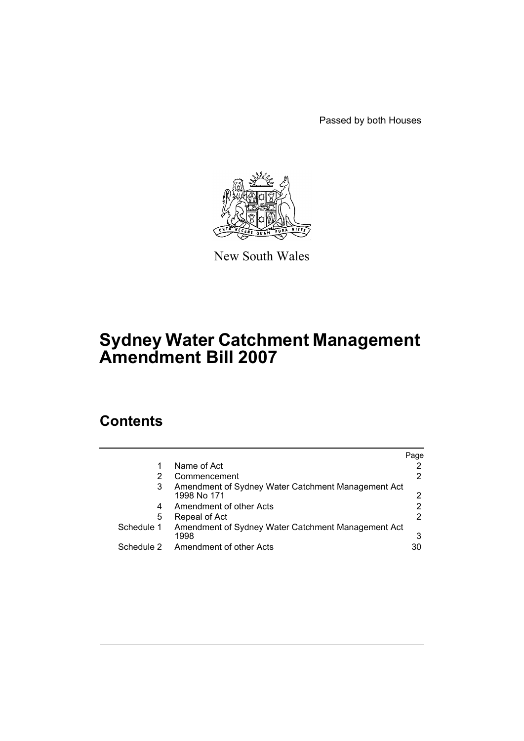Passed by both Houses



New South Wales

# **Sydney Water Catchment Management Amendment Bill 2007**

# **Contents**

|            |                                                                   | Page |
|------------|-------------------------------------------------------------------|------|
| 1          | Name of Act                                                       |      |
| 2          | Commencement                                                      |      |
| 3          | Amendment of Sydney Water Catchment Management Act<br>1998 No 171 |      |
| 4          | Amendment of other Acts                                           |      |
| 5          | Repeal of Act                                                     |      |
| Schedule 1 | Amendment of Sydney Water Catchment Management Act<br>1998        | 3    |
| Schedule 2 | Amendment of other Acts                                           | 30   |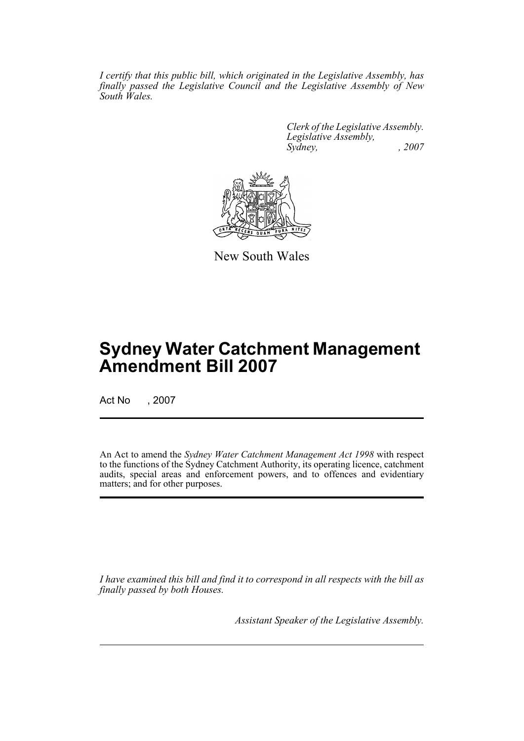*I certify that this public bill, which originated in the Legislative Assembly, has finally passed the Legislative Council and the Legislative Assembly of New South Wales.*

> *Clerk of the Legislative Assembly. Legislative Assembly, Sydney, , 2007*



New South Wales

# **Sydney Water Catchment Management Amendment Bill 2007**

Act No , 2007

An Act to amend the *Sydney Water Catchment Management Act 1998* with respect to the functions of the Sydney Catchment Authority, its operating licence, catchment audits, special areas and enforcement powers, and to offences and evidentiary matters; and for other purposes.

*I have examined this bill and find it to correspond in all respects with the bill as finally passed by both Houses.*

*Assistant Speaker of the Legislative Assembly.*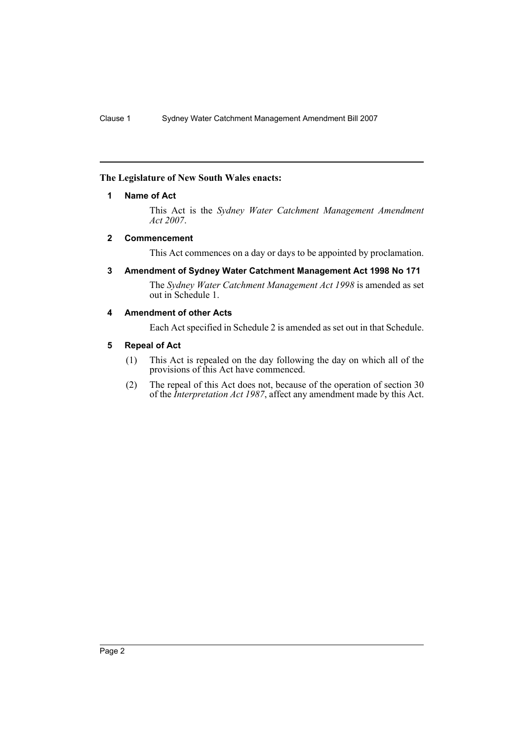### <span id="page-2-0"></span>**The Legislature of New South Wales enacts:**

### **1 Name of Act**

This Act is the *Sydney Water Catchment Management Amendment Act 2007*.

### <span id="page-2-1"></span>**2 Commencement**

This Act commences on a day or days to be appointed by proclamation.

<span id="page-2-2"></span>**3 Amendment of Sydney Water Catchment Management Act 1998 No 171**

The *Sydney Water Catchment Management Act 1998* is amended as set out in Schedule 1.

### <span id="page-2-3"></span>**4 Amendment of other Acts**

Each Act specified in Schedule 2 is amended as set out in that Schedule.

### <span id="page-2-4"></span>**5 Repeal of Act**

- (1) This Act is repealed on the day following the day on which all of the provisions of this Act have commenced.
- (2) The repeal of this Act does not, because of the operation of section 30 of the *Interpretation Act 1987*, affect any amendment made by this Act.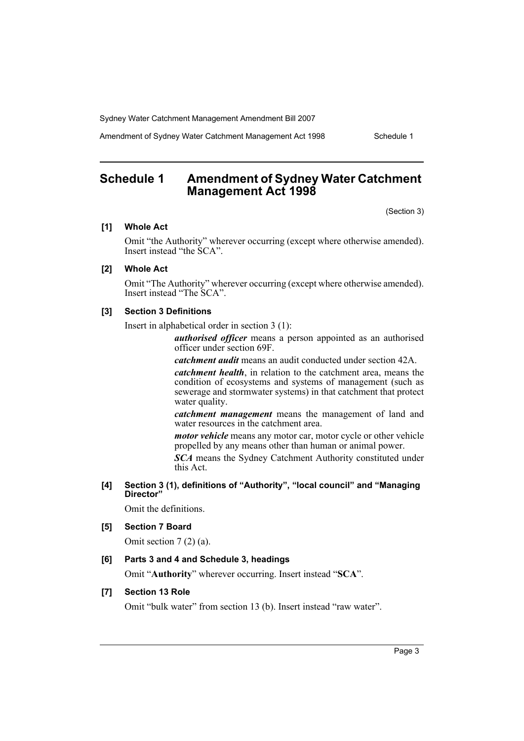Amendment of Sydney Water Catchment Management Act 1998 Schedule 1

# <span id="page-3-0"></span>**Schedule 1 Amendment of Sydney Water Catchment Management Act 1998**

(Section 3)

### **[1] Whole Act**

Omit "the Authority" wherever occurring (except where otherwise amended). Insert instead "the SCA".

#### **[2] Whole Act**

Omit "The Authority" wherever occurring (except where otherwise amended). Insert instead "The SCA".

#### **[3] Section 3 Definitions**

Insert in alphabetical order in section 3 (1):

*authorised officer* means a person appointed as an authorised officer under section 69F.

*catchment audit* means an audit conducted under section 42A.

*catchment health*, in relation to the catchment area, means the condition of ecosystems and systems of management (such as sewerage and stormwater systems) in that catchment that protect water quality.

*catchment management* means the management of land and water resources in the catchment area.

*motor vehicle* means any motor car, motor cycle or other vehicle propelled by any means other than human or animal power.

*SCA* means the Sydney Catchment Authority constituted under this Act.

**[4] Section 3 (1), definitions of "Authority", "local council" and "Managing Director"**

Omit the definitions.

### **[5] Section 7 Board**

Omit section 7 (2) (a).

### **[6] Parts 3 and 4 and Schedule 3, headings**

Omit "**Authority**" wherever occurring. Insert instead "**SCA**".

### **[7] Section 13 Role**

Omit "bulk water" from section 13 (b). Insert instead "raw water".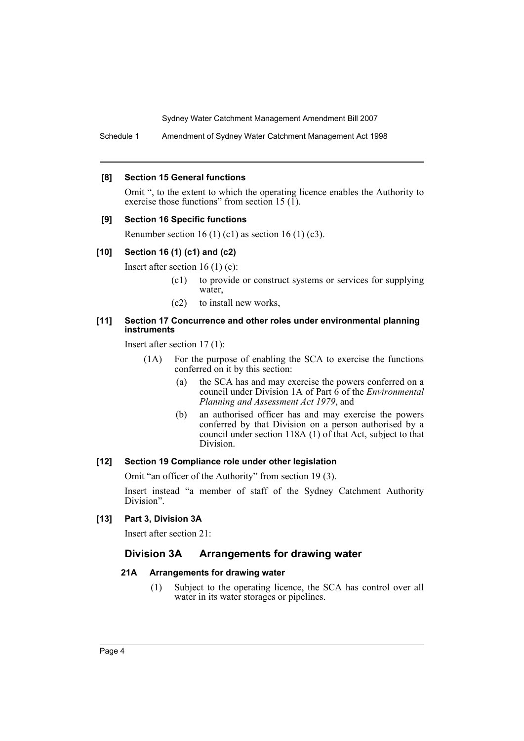Schedule 1 Amendment of Sydney Water Catchment Management Act 1998

#### **[8] Section 15 General functions**

Omit ", to the extent to which the operating licence enables the Authority to exercise those functions" from section 15 (1).

#### **[9] Section 16 Specific functions**

Renumber section 16 (1) (c1) as section 16 (1) (c3).

#### **[10] Section 16 (1) (c1) and (c2)**

Insert after section 16 (1) (c):

- (c1) to provide or construct systems or services for supplying water,
- (c2) to install new works,

#### **[11] Section 17 Concurrence and other roles under environmental planning instruments**

Insert after section 17 (1):

- (1A) For the purpose of enabling the SCA to exercise the functions conferred on it by this section:
	- (a) the SCA has and may exercise the powers conferred on a council under Division 1A of Part 6 of the *Environmental Planning and Assessment Act 1979*, and
	- (b) an authorised officer has and may exercise the powers conferred by that Division on a person authorised by a council under section 118A (1) of that Act, subject to that Division.

#### **[12] Section 19 Compliance role under other legislation**

Omit "an officer of the Authority" from section 19 (3).

Insert instead "a member of staff of the Sydney Catchment Authority Division".

#### **[13] Part 3, Division 3A**

Insert after section 21:

### **Division 3A Arrangements for drawing water**

#### **21A Arrangements for drawing water**

(1) Subject to the operating licence, the SCA has control over all water in its water storages or pipelines.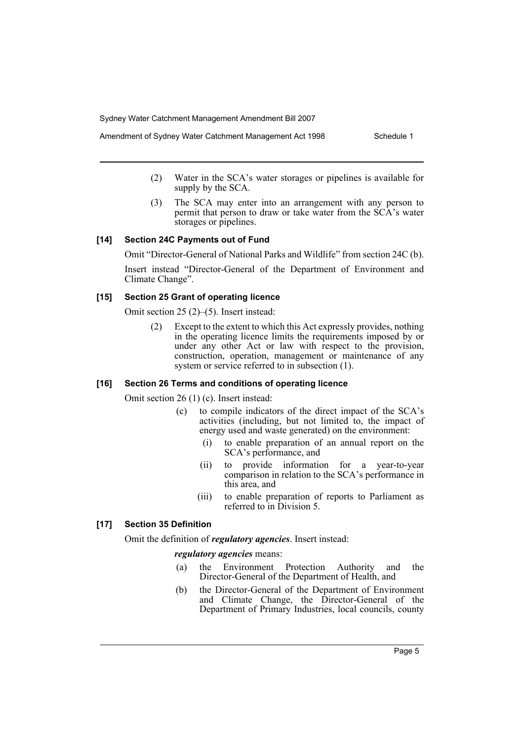- Amendment of Sydney Water Catchment Management Act 1998 Schedule 1
	- (2) Water in the SCA's water storages or pipelines is available for supply by the SCA.
	- (3) The SCA may enter into an arrangement with any person to permit that person to draw or take water from the SCA's water storages or pipelines.

#### **[14] Section 24C Payments out of Fund**

Omit "Director-General of National Parks and Wildlife" from section 24C (b).

Insert instead "Director-General of the Department of Environment and Climate Change".

### **[15] Section 25 Grant of operating licence**

Omit section 25 (2)–(5). Insert instead:

(2) Except to the extent to which this Act expressly provides, nothing in the operating licence limits the requirements imposed by or under any other Act or law with respect to the provision, construction, operation, management or maintenance of any system or service referred to in subsection  $(1)$ .

### **[16] Section 26 Terms and conditions of operating licence**

Omit section 26 (1) (c). Insert instead:

- (c) to compile indicators of the direct impact of the SCA's activities (including, but not limited to, the impact of energy used and waste generated) on the environment:
	- (i) to enable preparation of an annual report on the SCA's performance, and
	- (ii) to provide information for a year-to-year comparison in relation to the SCA's performance in this area, and
	- (iii) to enable preparation of reports to Parliament as referred to in Division 5.

### **[17] Section 35 Definition**

Omit the definition of *regulatory agencies*. Insert instead:

*regulatory agencies* means:

- (a) the Environment Protection Authority and the Director-General of the Department of Health, and
- (b) the Director-General of the Department of Environment and Climate Change, the Director-General of the Department of Primary Industries, local councils, county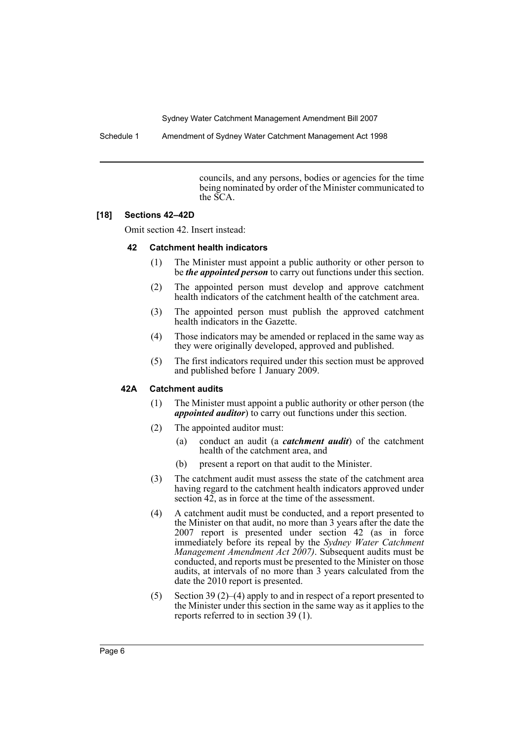Schedule 1 Amendment of Sydney Water Catchment Management Act 1998

councils, and any persons, bodies or agencies for the time being nominated by order of the Minister communicated to the SCA.

### **[18] Sections 42–42D**

Omit section 42. Insert instead:

### **42 Catchment health indicators**

- (1) The Minister must appoint a public authority or other person to be *the appointed person* to carry out functions under this section.
- (2) The appointed person must develop and approve catchment health indicators of the catchment health of the catchment area.
- (3) The appointed person must publish the approved catchment health indicators in the Gazette.
- (4) Those indicators may be amended or replaced in the same way as they were originally developed, approved and published.
- (5) The first indicators required under this section must be approved and published before 1 January 2009.

### **42A Catchment audits**

- (1) The Minister must appoint a public authority or other person (the *appointed auditor*) to carry out functions under this section.
- (2) The appointed auditor must:
	- (a) conduct an audit (a *catchment audit*) of the catchment health of the catchment area, and
	- (b) present a report on that audit to the Minister.
- (3) The catchment audit must assess the state of the catchment area having regard to the catchment health indicators approved under section  $42$ , as in force at the time of the assessment.
- (4) A catchment audit must be conducted, and a report presented to the Minister on that audit, no more than 3 years after the date the 2007 report is presented under section 42 (as in force immediately before its repeal by the *Sydney Water Catchment Management Amendment Act 2007)*. Subsequent audits must be conducted, and reports must be presented to the Minister on those audits, at intervals of no more than 3 years calculated from the date the 2010 report is presented.
- (5) Section 39 (2)–(4) apply to and in respect of a report presented to the Minister under this section in the same way as it applies to the reports referred to in section 39 (1).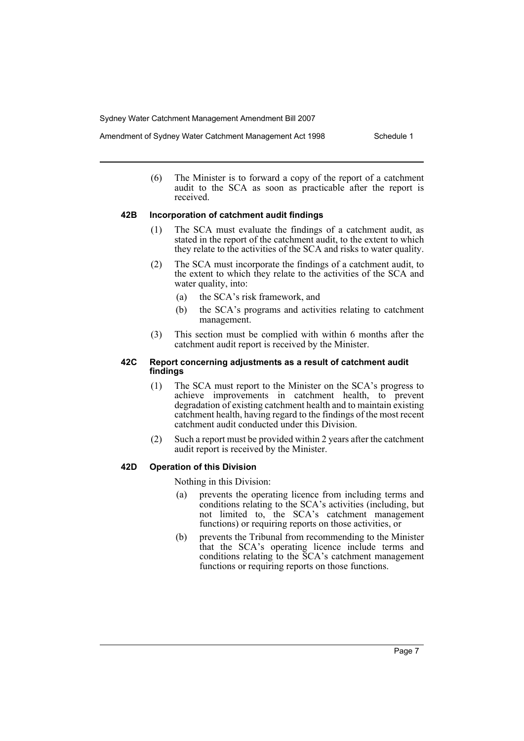(6) The Minister is to forward a copy of the report of a catchment audit to the SCA as soon as practicable after the report is received.

#### **42B Incorporation of catchment audit findings**

- (1) The SCA must evaluate the findings of a catchment audit, as stated in the report of the catchment audit, to the extent to which they relate to the activities of the SCA and risks to water quality.
- (2) The SCA must incorporate the findings of a catchment audit, to the extent to which they relate to the activities of the SCA and water quality, into:
	- (a) the SCA's risk framework, and
	- (b) the SCA's programs and activities relating to catchment management.
- (3) This section must be complied with within 6 months after the catchment audit report is received by the Minister.

#### **42C Report concerning adjustments as a result of catchment audit findings**

- (1) The SCA must report to the Minister on the SCA's progress to achieve improvements in catchment health, to prevent degradation of existing catchment health and to maintain existing catchment health, having regard to the findings of the most recent catchment audit conducted under this Division.
- (2) Such a report must be provided within 2 years after the catchment audit report is received by the Minister.

### **42D Operation of this Division**

Nothing in this Division:

- (a) prevents the operating licence from including terms and conditions relating to the SCA's activities (including, but not limited to, the SCA's catchment management functions) or requiring reports on those activities, or
- (b) prevents the Tribunal from recommending to the Minister that the SCA's operating licence include terms and conditions relating to the SCA's catchment management functions or requiring reports on those functions.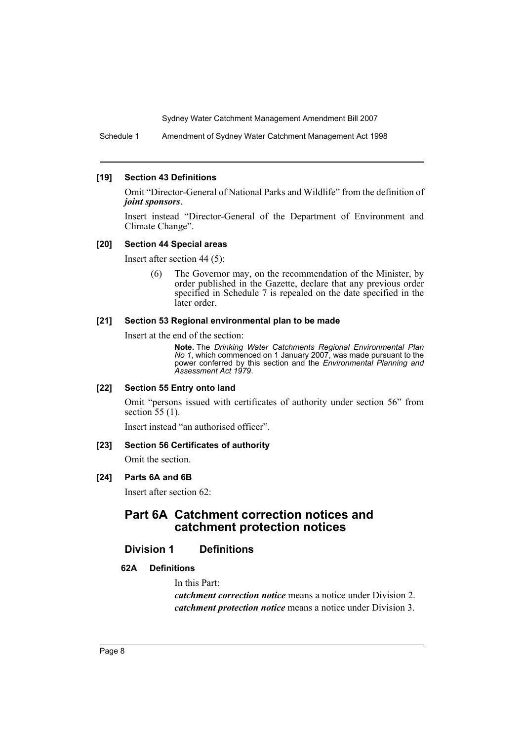Schedule 1 Amendment of Sydney Water Catchment Management Act 1998

#### **[19] Section 43 Definitions**

Omit "Director-General of National Parks and Wildlife" from the definition of *joint sponsors*.

Insert instead "Director-General of the Department of Environment and Climate Change".

#### **[20] Section 44 Special areas**

Insert after section 44 (5):

(6) The Governor may, on the recommendation of the Minister, by order published in the Gazette, declare that any previous order specified in Schedule 7 is repealed on the date specified in the later order.

#### **[21] Section 53 Regional environmental plan to be made**

Insert at the end of the section:

**Note.** The *Drinking Water Catchments Regional Environmental Plan No 1*, which commenced on 1 January 2007, was made pursuant to the power conferred by this section and the *Environmental Planning and Assessment Act 1979*.

#### **[22] Section 55 Entry onto land**

Omit "persons issued with certificates of authority under section 56" from section 55 (1).

Insert instead "an authorised officer".

### **[23] Section 56 Certificates of authority**

Omit the section.

### **[24] Parts 6A and 6B**

Insert after section 62:

# **Part 6A Catchment correction notices and catchment protection notices**

### **Division 1 Definitions**

### **62A Definitions**

In this Part:

*catchment correction notice* means a notice under Division 2. *catchment protection notice* means a notice under Division 3.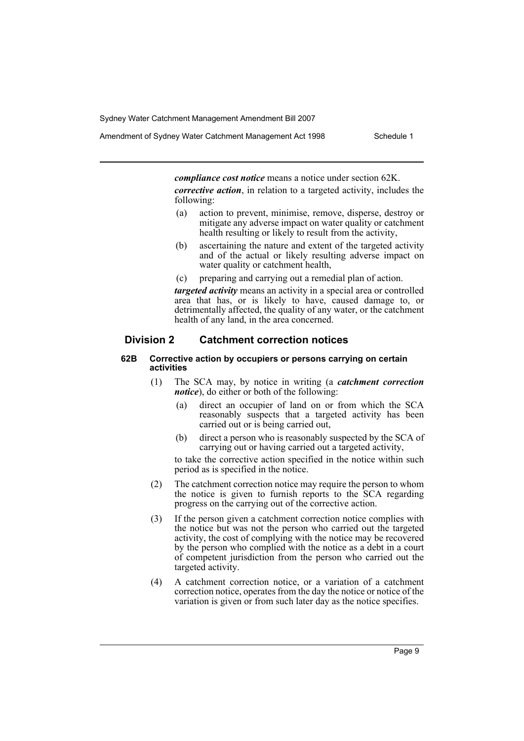Amendment of Sydney Water Catchment Management Act 1998 Schedule 1

*compliance cost notice* means a notice under section 62K.

*corrective action*, in relation to a targeted activity, includes the following:

- (a) action to prevent, minimise, remove, disperse, destroy or mitigate any adverse impact on water quality or catchment health resulting or likely to result from the activity,
- (b) ascertaining the nature and extent of the targeted activity and of the actual or likely resulting adverse impact on water quality or catchment health,
- (c) preparing and carrying out a remedial plan of action.

*targeted activity* means an activity in a special area or controlled area that has, or is likely to have, caused damage to, or detrimentally affected, the quality of any water, or the catchment health of any land, in the area concerned.

### **Division 2 Catchment correction notices**

#### **62B Corrective action by occupiers or persons carrying on certain activities**

- (1) The SCA may, by notice in writing (a *catchment correction notice*), do either or both of the following:
	- (a) direct an occupier of land on or from which the SCA reasonably suspects that a targeted activity has been carried out or is being carried out,
	- (b) direct a person who is reasonably suspected by the SCA of carrying out or having carried out a targeted activity,

to take the corrective action specified in the notice within such period as is specified in the notice.

- (2) The catchment correction notice may require the person to whom the notice is given to furnish reports to the SCA regarding progress on the carrying out of the corrective action.
- (3) If the person given a catchment correction notice complies with the notice but was not the person who carried out the targeted activity, the cost of complying with the notice may be recovered by the person who complied with the notice as a debt in a court of competent jurisdiction from the person who carried out the targeted activity.
- (4) A catchment correction notice, or a variation of a catchment correction notice, operates from the day the notice or notice of the variation is given or from such later day as the notice specifies.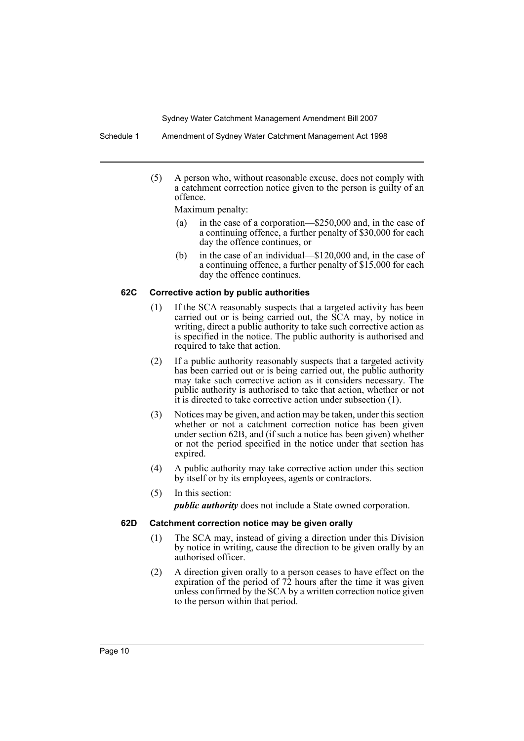Schedule 1 Amendment of Sydney Water Catchment Management Act 1998

(5) A person who, without reasonable excuse, does not comply with a catchment correction notice given to the person is guilty of an offence.

Maximum penalty:

- (a) in the case of a corporation—\$250,000 and, in the case of a continuing offence, a further penalty of \$30,000 for each day the offence continues, or
- (b) in the case of an individual—\$120,000 and, in the case of a continuing offence, a further penalty of \$15,000 for each day the offence continues.

### **62C Corrective action by public authorities**

- (1) If the SCA reasonably suspects that a targeted activity has been carried out or is being carried out, the SCA may, by notice in writing, direct a public authority to take such corrective action as is specified in the notice. The public authority is authorised and required to take that action.
- (2) If a public authority reasonably suspects that a targeted activity has been carried out or is being carried out, the public authority may take such corrective action as it considers necessary. The public authority is authorised to take that action, whether or not it is directed to take corrective action under subsection (1).
- (3) Notices may be given, and action may be taken, under this section whether or not a catchment correction notice has been given under section 62B, and (if such a notice has been given) whether or not the period specified in the notice under that section has expired.
- (4) A public authority may take corrective action under this section by itself or by its employees, agents or contractors.
- (5) In this section: *public authority* does not include a State owned corporation.

#### **62D Catchment correction notice may be given orally**

- (1) The SCA may, instead of giving a direction under this Division by notice in writing, cause the direction to be given orally by an authorised officer.
- (2) A direction given orally to a person ceases to have effect on the expiration of the period of 72 hours after the time it was given unless confirmed by the SCA by a written correction notice given to the person within that period.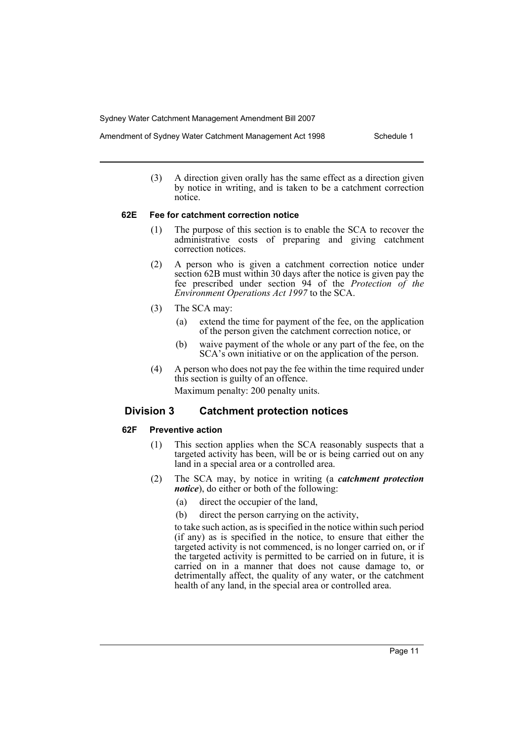(3) A direction given orally has the same effect as a direction given by notice in writing, and is taken to be a catchment correction notice.

#### **62E Fee for catchment correction notice**

- (1) The purpose of this section is to enable the SCA to recover the administrative costs of preparing and giving catchment correction notices.
- (2) A person who is given a catchment correction notice under section 62B must within 30 days after the notice is given pay the fee prescribed under section 94 of the *Protection of the Environment Operations Act 1997* to the SCA.
- (3) The SCA may:
	- (a) extend the time for payment of the fee, on the application of the person given the catchment correction notice, or
	- (b) waive payment of the whole or any part of the fee, on the SCA's own initiative or on the application of the person.
- (4) A person who does not pay the fee within the time required under this section is guilty of an offence. Maximum penalty: 200 penalty units.

### **Division 3 Catchment protection notices**

### **62F Preventive action**

- (1) This section applies when the SCA reasonably suspects that a targeted activity has been, will be or is being carried out on any land in a special area or a controlled area.
- (2) The SCA may, by notice in writing (a *catchment protection notice*), do either or both of the following:
	- (a) direct the occupier of the land,
	- (b) direct the person carrying on the activity,

to take such action, as is specified in the notice within such period (if any) as is specified in the notice, to ensure that either the targeted activity is not commenced, is no longer carried on, or if the targeted activity is permitted to be carried on in future, it is carried on in a manner that does not cause damage to, or detrimentally affect, the quality of any water, or the catchment health of any land, in the special area or controlled area.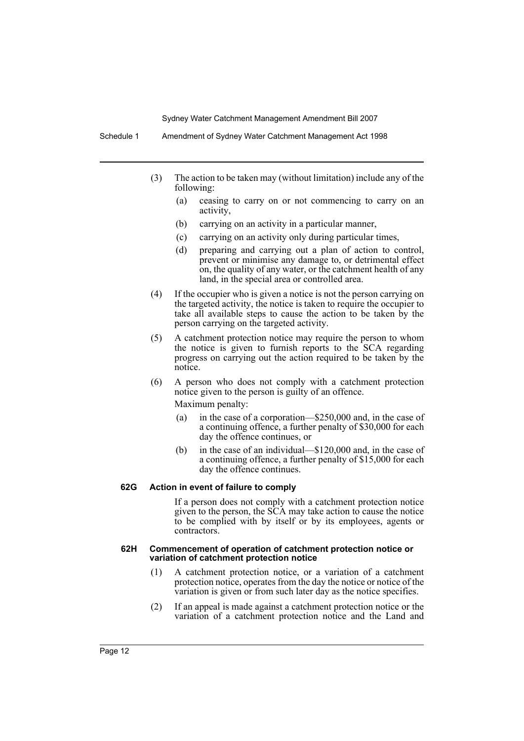Schedule 1 Amendment of Sydney Water Catchment Management Act 1998

- (3) The action to be taken may (without limitation) include any of the following:
	- (a) ceasing to carry on or not commencing to carry on an activity,
	- (b) carrying on an activity in a particular manner,
	- (c) carrying on an activity only during particular times,
	- (d) preparing and carrying out a plan of action to control, prevent or minimise any damage to, or detrimental effect on, the quality of any water, or the catchment health of any land, in the special area or controlled area.
- (4) If the occupier who is given a notice is not the person carrying on the targeted activity, the notice is taken to require the occupier to take all available steps to cause the action to be taken by the person carrying on the targeted activity.
- (5) A catchment protection notice may require the person to whom the notice is given to furnish reports to the SCA regarding progress on carrying out the action required to be taken by the notice.
- (6) A person who does not comply with a catchment protection notice given to the person is guilty of an offence. Maximum penalty:
	- (a) in the case of a corporation—\$250,000 and, in the case of a continuing offence, a further penalty of \$30,000 for each day the offence continues, or
	- (b) in the case of an individual—\$120,000 and, in the case of a continuing offence, a further penalty of \$15,000 for each day the offence continues.

#### **62G Action in event of failure to comply**

If a person does not comply with a catchment protection notice given to the person, the SCA may take action to cause the notice to be complied with by itself or by its employees, agents or contractors.

#### **62H Commencement of operation of catchment protection notice or variation of catchment protection notice**

- (1) A catchment protection notice, or a variation of a catchment protection notice, operates from the day the notice or notice of the variation is given or from such later day as the notice specifies.
- (2) If an appeal is made against a catchment protection notice or the variation of a catchment protection notice and the Land and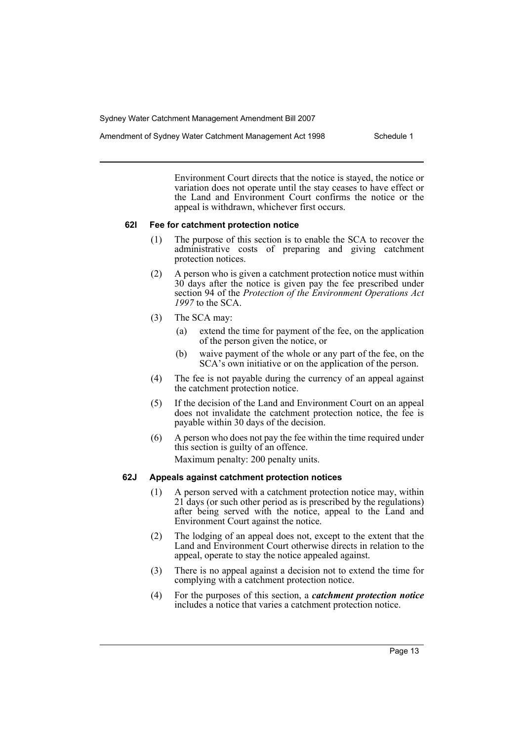Amendment of Sydney Water Catchment Management Act 1998 Schedule 1

Environment Court directs that the notice is stayed, the notice or variation does not operate until the stay ceases to have effect or the Land and Environment Court confirms the notice or the appeal is withdrawn, whichever first occurs.

### **62I Fee for catchment protection notice**

- (1) The purpose of this section is to enable the SCA to recover the administrative costs of preparing and giving catchment protection notices.
- (2) A person who is given a catchment protection notice must within 30 days after the notice is given pay the fee prescribed under section 94 of the *Protection of the Environment Operations Act 1997* to the SCA.
- (3) The SCA may:
	- (a) extend the time for payment of the fee, on the application of the person given the notice, or
	- (b) waive payment of the whole or any part of the fee, on the SCA's own initiative or on the application of the person.
- (4) The fee is not payable during the currency of an appeal against the catchment protection notice.
- (5) If the decision of the Land and Environment Court on an appeal does not invalidate the catchment protection notice, the fee is payable within 30 days of the decision.
- (6) A person who does not pay the fee within the time required under this section is guilty of an offence. Maximum penalty: 200 penalty units.

### **62J Appeals against catchment protection notices**

- (1) A person served with a catchment protection notice may, within 21 days (or such other period as is prescribed by the regulations) after being served with the notice, appeal to the Land and Environment Court against the notice.
- (2) The lodging of an appeal does not, except to the extent that the Land and Environment Court otherwise directs in relation to the appeal, operate to stay the notice appealed against.
- (3) There is no appeal against a decision not to extend the time for complying with a catchment protection notice.
- (4) For the purposes of this section, a *catchment protection notice* includes a notice that varies a catchment protection notice.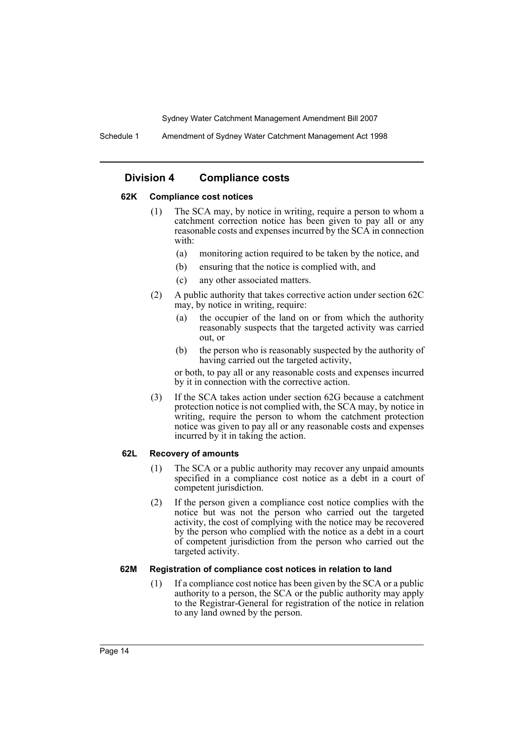Schedule 1 Amendment of Sydney Water Catchment Management Act 1998

### **Division 4 Compliance costs**

#### **62K Compliance cost notices**

- (1) The SCA may, by notice in writing, require a person to whom a catchment correction notice has been given to pay all or any reasonable costs and expenses incurred by the SCA in connection with:
	- (a) monitoring action required to be taken by the notice, and
	- (b) ensuring that the notice is complied with, and
	- (c) any other associated matters.
- (2) A public authority that takes corrective action under section 62C may, by notice in writing, require:
	- (a) the occupier of the land on or from which the authority reasonably suspects that the targeted activity was carried out, or
	- (b) the person who is reasonably suspected by the authority of having carried out the targeted activity,

or both, to pay all or any reasonable costs and expenses incurred by it in connection with the corrective action.

(3) If the SCA takes action under section 62G because a catchment protection notice is not complied with, the SCA may, by notice in writing, require the person to whom the catchment protection notice was given to pay all or any reasonable costs and expenses incurred by it in taking the action.

#### **62L Recovery of amounts**

- (1) The SCA or a public authority may recover any unpaid amounts specified in a compliance cost notice as a debt in a court of competent jurisdiction.
- (2) If the person given a compliance cost notice complies with the notice but was not the person who carried out the targeted activity, the cost of complying with the notice may be recovered by the person who complied with the notice as a debt in a court of competent jurisdiction from the person who carried out the targeted activity.

#### **62M Registration of compliance cost notices in relation to land**

(1) If a compliance cost notice has been given by the SCA or a public authority to a person, the SCA or the public authority may apply to the Registrar-General for registration of the notice in relation to any land owned by the person.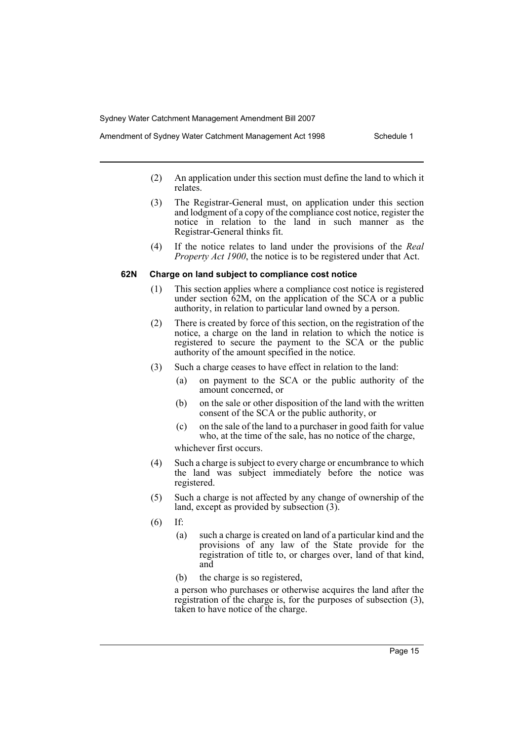- Amendment of Sydney Water Catchment Management Act 1998 Schedule 1
	- (2) An application under this section must define the land to which it relates.
	- (3) The Registrar-General must, on application under this section and lodgment of a copy of the compliance cost notice, register the notice in relation to the land in such manner as the Registrar-General thinks fit.
	- (4) If the notice relates to land under the provisions of the *Real Property Act 1900*, the notice is to be registered under that Act.

#### **62N Charge on land subject to compliance cost notice**

- (1) This section applies where a compliance cost notice is registered under section 62M, on the application of the SCA or a public authority, in relation to particular land owned by a person.
- (2) There is created by force of this section, on the registration of the notice, a charge on the land in relation to which the notice is registered to secure the payment to the SCA or the public authority of the amount specified in the notice.
- (3) Such a charge ceases to have effect in relation to the land:
	- (a) on payment to the SCA or the public authority of the amount concerned, or
	- (b) on the sale or other disposition of the land with the written consent of the SCA or the public authority, or
	- (c) on the sale of the land to a purchaser in good faith for value who, at the time of the sale, has no notice of the charge,

whichever first occurs.

- (4) Such a charge is subject to every charge or encumbrance to which the land was subject immediately before the notice was registered.
- (5) Such a charge is not affected by any change of ownership of the land, except as provided by subsection (3).
- (6) If:
	- (a) such a charge is created on land of a particular kind and the provisions of any law of the State provide for the registration of title to, or charges over, land of that kind, and
	- (b) the charge is so registered,

a person who purchases or otherwise acquires the land after the registration of the charge is, for the purposes of subsection (3), taken to have notice of the charge.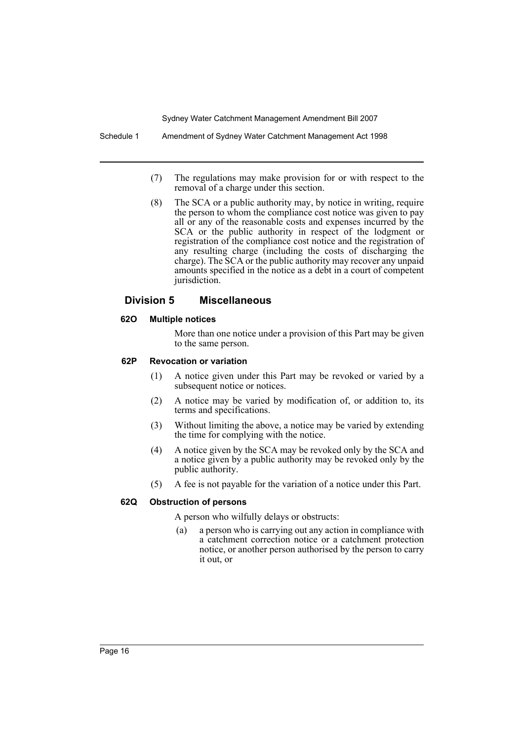- (7) The regulations may make provision for or with respect to the removal of a charge under this section.
- (8) The SCA or a public authority may, by notice in writing, require the person to whom the compliance cost notice was given to pay all or any of the reasonable costs and expenses incurred by the SCA or the public authority in respect of the lodgment or registration of the compliance cost notice and the registration of any resulting charge (including the costs of discharging the charge). The SCA or the public authority may recover any unpaid amounts specified in the notice as a debt in a court of competent jurisdiction.

### **Division 5 Miscellaneous**

### **62O Multiple notices**

More than one notice under a provision of this Part may be given to the same person.

### **62P Revocation or variation**

- (1) A notice given under this Part may be revoked or varied by a subsequent notice or notices.
- (2) A notice may be varied by modification of, or addition to, its terms and specifications.
- (3) Without limiting the above, a notice may be varied by extending the time for complying with the notice.
- (4) A notice given by the SCA may be revoked only by the SCA and a notice given by a public authority may be revoked only by the public authority.
- (5) A fee is not payable for the variation of a notice under this Part.

### **62Q Obstruction of persons**

A person who wilfully delays or obstructs:

(a) a person who is carrying out any action in compliance with a catchment correction notice or a catchment protection notice, or another person authorised by the person to carry it out, or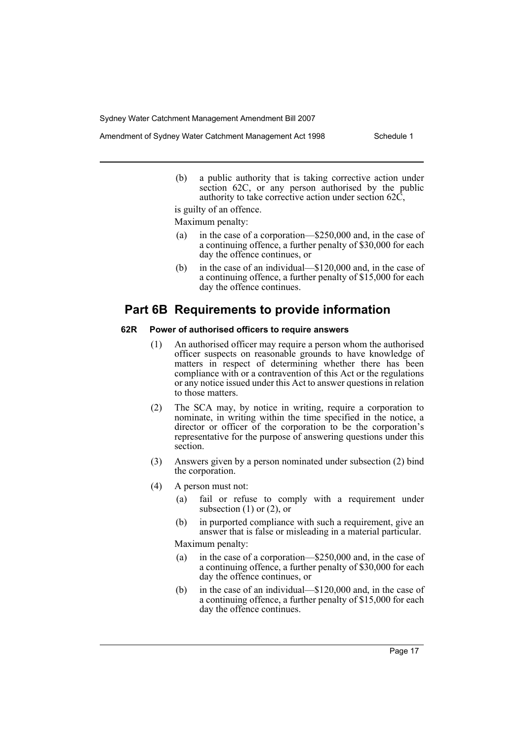(b) a public authority that is taking corrective action under section 62C, or any person authorised by the public authority to take corrective action under section  $62\overline{C}$ ,

is guilty of an offence.

Maximum penalty:

- (a) in the case of a corporation—\$250,000 and, in the case of a continuing offence, a further penalty of \$30,000 for each day the offence continues, or
- (b) in the case of an individual—\$120,000 and, in the case of a continuing offence, a further penalty of \$15,000 for each day the offence continues.

# **Part 6B Requirements to provide information**

#### **62R Power of authorised officers to require answers**

- (1) An authorised officer may require a person whom the authorised officer suspects on reasonable grounds to have knowledge of matters in respect of determining whether there has been compliance with or a contravention of this Act or the regulations or any notice issued under this Act to answer questions in relation to those matters.
- (2) The SCA may, by notice in writing, require a corporation to nominate, in writing within the time specified in the notice, a director or officer of the corporation to be the corporation's representative for the purpose of answering questions under this section.
- (3) Answers given by a person nominated under subsection (2) bind the corporation.
- (4) A person must not:
	- (a) fail or refuse to comply with a requirement under subsection  $(1)$  or  $(2)$ , or
	- (b) in purported compliance with such a requirement, give an answer that is false or misleading in a material particular. Maximum penalty:
	- (a) in the case of a corporation—\$250,000 and, in the case of a continuing offence, a further penalty of \$30,000 for each day the offence continues, or
	- (b) in the case of an individual—\$120,000 and, in the case of a continuing offence, a further penalty of \$15,000 for each day the offence continues.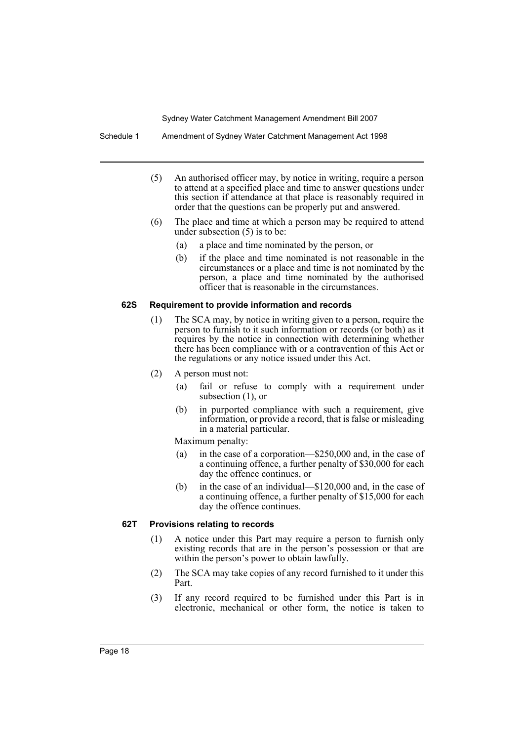Schedule 1 Amendment of Sydney Water Catchment Management Act 1998

- (5) An authorised officer may, by notice in writing, require a person to attend at a specified place and time to answer questions under this section if attendance at that place is reasonably required in order that the questions can be properly put and answered.
- (6) The place and time at which a person may be required to attend under subsection (5) is to be:
	- (a) a place and time nominated by the person, or
	- (b) if the place and time nominated is not reasonable in the circumstances or a place and time is not nominated by the person, a place and time nominated by the authorised officer that is reasonable in the circumstances.

### **62S Requirement to provide information and records**

- (1) The SCA may, by notice in writing given to a person, require the person to furnish to it such information or records (or both) as it requires by the notice in connection with determining whether there has been compliance with or a contravention of this Act or the regulations or any notice issued under this Act.
- (2) A person must not:
	- (a) fail or refuse to comply with a requirement under subsection (1), or
	- (b) in purported compliance with such a requirement, give information, or provide a record, that is false or misleading in a material particular.

Maximum penalty:

- (a) in the case of a corporation—\$250,000 and, in the case of a continuing offence, a further penalty of \$30,000 for each day the offence continues, or
- (b) in the case of an individual—\$120,000 and, in the case of a continuing offence, a further penalty of \$15,000 for each day the offence continues.

### **62T Provisions relating to records**

- (1) A notice under this Part may require a person to furnish only existing records that are in the person's possession or that are within the person's power to obtain lawfully.
- (2) The SCA may take copies of any record furnished to it under this Part.
- (3) If any record required to be furnished under this Part is in electronic, mechanical or other form, the notice is taken to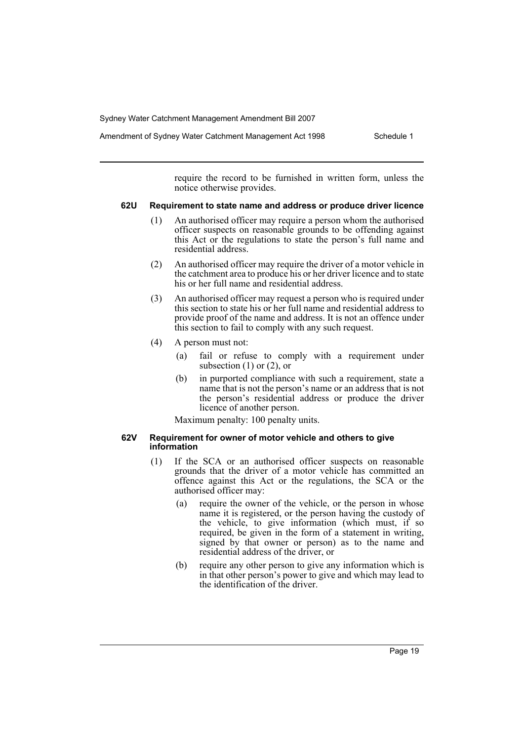Amendment of Sydney Water Catchment Management Act 1998 Schedule 1

require the record to be furnished in written form, unless the notice otherwise provides.

#### **62U Requirement to state name and address or produce driver licence**

- (1) An authorised officer may require a person whom the authorised officer suspects on reasonable grounds to be offending against this Act or the regulations to state the person's full name and residential address.
- (2) An authorised officer may require the driver of a motor vehicle in the catchment area to produce his or her driver licence and to state his or her full name and residential address.
- (3) An authorised officer may request a person who is required under this section to state his or her full name and residential address to provide proof of the name and address. It is not an offence under this section to fail to comply with any such request.
- (4) A person must not:
	- (a) fail or refuse to comply with a requirement under subsection  $(1)$  or  $(2)$ , or
	- (b) in purported compliance with such a requirement, state a name that is not the person's name or an address that is not the person's residential address or produce the driver licence of another person.

Maximum penalty: 100 penalty units.

#### **62V Requirement for owner of motor vehicle and others to give information**

- (1) If the SCA or an authorised officer suspects on reasonable grounds that the driver of a motor vehicle has committed an offence against this Act or the regulations, the SCA or the authorised officer may:
	- (a) require the owner of the vehicle, or the person in whose name it is registered, or the person having the custody of the vehicle, to give information (which must, if so required, be given in the form of a statement in writing, signed by that owner or person) as to the name and residential address of the driver, or
	- (b) require any other person to give any information which is in that other person's power to give and which may lead to the identification of the driver.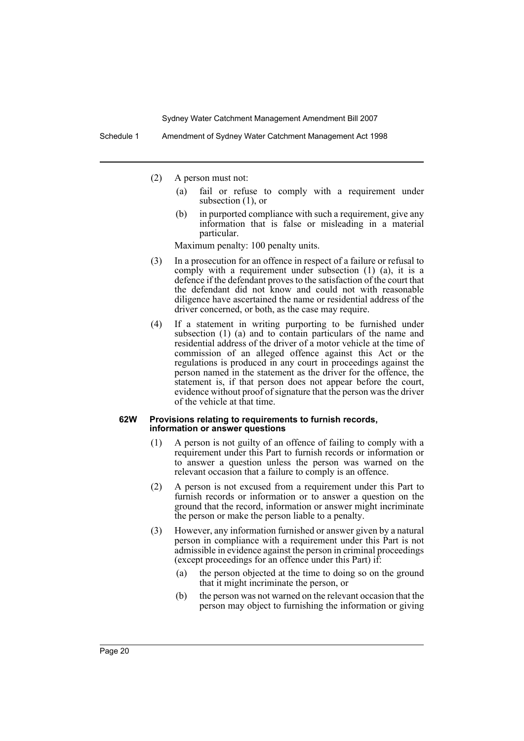- (2) A person must not:
	- (a) fail or refuse to comply with a requirement under subsection (1), or
	- (b) in purported compliance with such a requirement, give any information that is false or misleading in a material particular.

Maximum penalty: 100 penalty units.

- (3) In a prosecution for an offence in respect of a failure or refusal to comply with a requirement under subsection (1) (a), it is a defence if the defendant proves to the satisfaction of the court that the defendant did not know and could not with reasonable diligence have ascertained the name or residential address of the driver concerned, or both, as the case may require.
- (4) If a statement in writing purporting to be furnished under subsection (1) (a) and to contain particulars of the name and residential address of the driver of a motor vehicle at the time of commission of an alleged offence against this Act or the regulations is produced in any court in proceedings against the person named in the statement as the driver for the offence, the statement is, if that person does not appear before the court, evidence without proof of signature that the person was the driver of the vehicle at that time.

#### **62W Provisions relating to requirements to furnish records, information or answer questions**

- (1) A person is not guilty of an offence of failing to comply with a requirement under this Part to furnish records or information or to answer a question unless the person was warned on the relevant occasion that a failure to comply is an offence.
- (2) A person is not excused from a requirement under this Part to furnish records or information or to answer a question on the ground that the record, information or answer might incriminate the person or make the person liable to a penalty.
- (3) However, any information furnished or answer given by a natural person in compliance with a requirement under this Part is not admissible in evidence against the person in criminal proceedings (except proceedings for an offence under this Part) if:
	- (a) the person objected at the time to doing so on the ground that it might incriminate the person, or
	- (b) the person was not warned on the relevant occasion that the person may object to furnishing the information or giving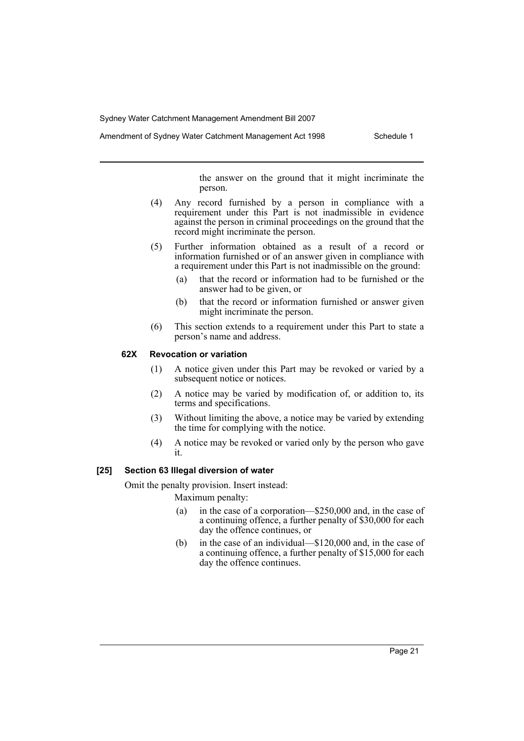Amendment of Sydney Water Catchment Management Act 1998 Schedule 1

the answer on the ground that it might incriminate the person.

- (4) Any record furnished by a person in compliance with a requirement under this Part is not inadmissible in evidence against the person in criminal proceedings on the ground that the record might incriminate the person.
- (5) Further information obtained as a result of a record or information furnished or of an answer given in compliance with a requirement under this Part is not inadmissible on the ground:
	- (a) that the record or information had to be furnished or the answer had to be given, or
	- (b) that the record or information furnished or answer given might incriminate the person.
- (6) This section extends to a requirement under this Part to state a person's name and address.

### **62X Revocation or variation**

- (1) A notice given under this Part may be revoked or varied by a subsequent notice or notices.
- (2) A notice may be varied by modification of, or addition to, its terms and specifications.
- (3) Without limiting the above, a notice may be varied by extending the time for complying with the notice.
- (4) A notice may be revoked or varied only by the person who gave it.

#### **[25] Section 63 Illegal diversion of water**

Omit the penalty provision. Insert instead:

Maximum penalty:

- (a) in the case of a corporation—\$250,000 and, in the case of a continuing offence, a further penalty of \$30,000 for each day the offence continues, or
- (b) in the case of an individual—\$120,000 and, in the case of a continuing offence, a further penalty of \$15,000 for each day the offence continues.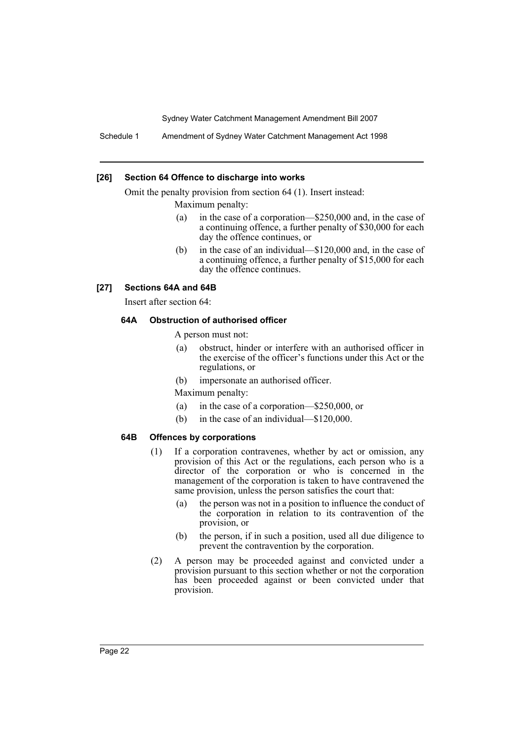Schedule 1 Amendment of Sydney Water Catchment Management Act 1998

#### **[26] Section 64 Offence to discharge into works**

Omit the penalty provision from section 64 (1). Insert instead:

Maximum penalty:

- (a) in the case of a corporation—\$250,000 and, in the case of a continuing offence, a further penalty of \$30,000 for each day the offence continues, or
- (b) in the case of an individual—\$120,000 and, in the case of a continuing offence, a further penalty of \$15,000 for each day the offence continues.

### **[27] Sections 64A and 64B**

Insert after section 64:

### **64A Obstruction of authorised officer**

A person must not:

- (a) obstruct, hinder or interfere with an authorised officer in the exercise of the officer's functions under this Act or the regulations, or
- (b) impersonate an authorised officer.

Maximum penalty:

- (a) in the case of a corporation—\$250,000, or
- (b) in the case of an individual—\$120,000.

#### **64B Offences by corporations**

- (1) If a corporation contravenes, whether by act or omission, any provision of this Act or the regulations, each person who is a director of the corporation or who is concerned in the management of the corporation is taken to have contravened the same provision, unless the person satisfies the court that:
	- (a) the person was not in a position to influence the conduct of the corporation in relation to its contravention of the provision, or
	- (b) the person, if in such a position, used all due diligence to prevent the contravention by the corporation.
- (2) A person may be proceeded against and convicted under a provision pursuant to this section whether or not the corporation has been proceeded against or been convicted under that provision.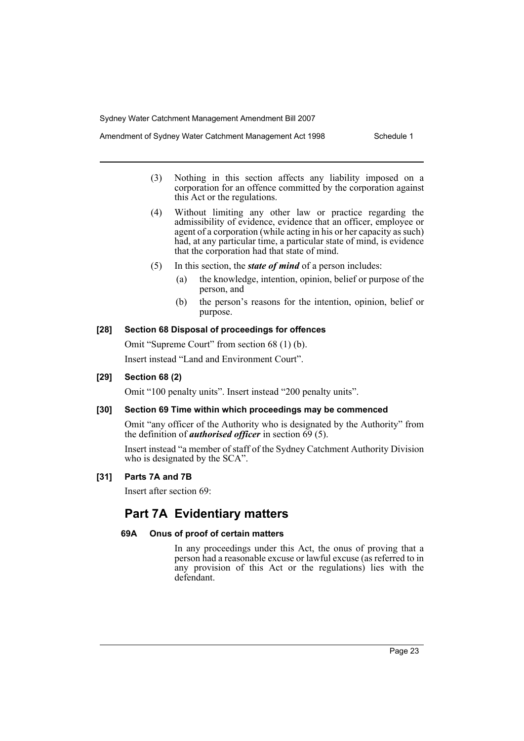- (3) Nothing in this section affects any liability imposed on a corporation for an offence committed by the corporation against this Act or the regulations.
- (4) Without limiting any other law or practice regarding the admissibility of evidence, evidence that an officer, employee or agent of a corporation (while acting in his or her capacity as such) had, at any particular time, a particular state of mind, is evidence that the corporation had that state of mind.
- (5) In this section, the *state of mind* of a person includes:
	- (a) the knowledge, intention, opinion, belief or purpose of the person, and
	- (b) the person's reasons for the intention, opinion, belief or purpose.

### **[28] Section 68 Disposal of proceedings for offences**

Omit "Supreme Court" from section 68 (1) (b). Insert instead "Land and Environment Court".

### **[29] Section 68 (2)**

Omit "100 penalty units". Insert instead "200 penalty units".

### **[30] Section 69 Time within which proceedings may be commenced**

Omit "any officer of the Authority who is designated by the Authority" from the definition of *authorised officer* in section 69 (5).

Insert instead "a member of staff of the Sydney Catchment Authority Division who is designated by the SCA".

#### **[31] Parts 7A and 7B**

Insert after section 69:

# **Part 7A Evidentiary matters**

### **69A Onus of proof of certain matters**

In any proceedings under this Act, the onus of proving that a person had a reasonable excuse or lawful excuse (as referred to in any provision of this Act or the regulations) lies with the defendant.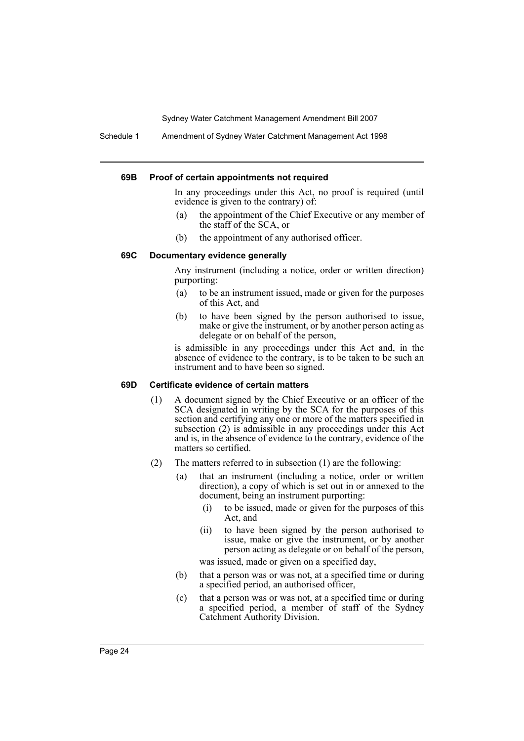Schedule 1 Amendment of Sydney Water Catchment Management Act 1998

#### **69B Proof of certain appointments not required**

In any proceedings under this Act, no proof is required (until evidence is given to the contrary) of:

- (a) the appointment of the Chief Executive or any member of the staff of the SCA, or
- (b) the appointment of any authorised officer.

#### **69C Documentary evidence generally**

Any instrument (including a notice, order or written direction) purporting:

- (a) to be an instrument issued, made or given for the purposes of this Act, and
- (b) to have been signed by the person authorised to issue, make or give the instrument, or by another person acting as delegate or on behalf of the person,

is admissible in any proceedings under this Act and, in the absence of evidence to the contrary, is to be taken to be such an instrument and to have been so signed.

#### **69D Certificate evidence of certain matters**

- (1) A document signed by the Chief Executive or an officer of the SCA designated in writing by the SCA for the purposes of this section and certifying any one or more of the matters specified in subsection (2) is admissible in any proceedings under this Act and is, in the absence of evidence to the contrary, evidence of the matters so certified.
- (2) The matters referred to in subsection (1) are the following:
	- (a) that an instrument (including a notice, order or written direction), a copy of which is set out in or annexed to the document, being an instrument purporting:
		- (i) to be issued, made or given for the purposes of this Act, and
		- (ii) to have been signed by the person authorised to issue, make or give the instrument, or by another person acting as delegate or on behalf of the person,

was issued, made or given on a specified day,

- (b) that a person was or was not, at a specified time or during a specified period, an authorised officer,
- (c) that a person was or was not, at a specified time or during a specified period, a member of staff of the Sydney Catchment Authority Division.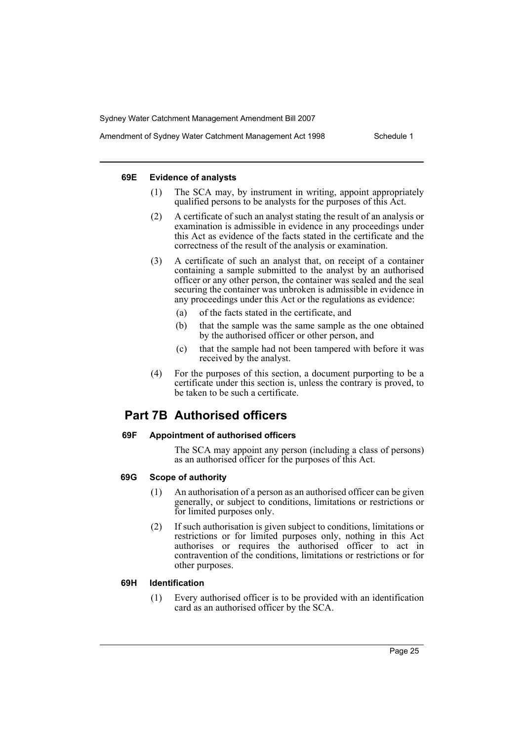#### **69E Evidence of analysts**

- (1) The SCA may, by instrument in writing, appoint appropriately qualified persons to be analysts for the purposes of this Act.
- (2) A certificate of such an analyst stating the result of an analysis or examination is admissible in evidence in any proceedings under this Act as evidence of the facts stated in the certificate and the correctness of the result of the analysis or examination.
- (3) A certificate of such an analyst that, on receipt of a container containing a sample submitted to the analyst by an authorised officer or any other person, the container was sealed and the seal securing the container was unbroken is admissible in evidence in any proceedings under this Act or the regulations as evidence:
	- (a) of the facts stated in the certificate, and
	- (b) that the sample was the same sample as the one obtained by the authorised officer or other person, and
	- (c) that the sample had not been tampered with before it was received by the analyst.
- (4) For the purposes of this section, a document purporting to be a certificate under this section is, unless the contrary is proved, to be taken to be such a certificate.

# **Part 7B Authorised officers**

#### **69F Appointment of authorised officers**

The SCA may appoint any person (including a class of persons) as an authorised officer for the purposes of this Act.

### **69G Scope of authority**

- (1) An authorisation of a person as an authorised officer can be given generally, or subject to conditions, limitations or restrictions or for limited purposes only.
- (2) If such authorisation is given subject to conditions, limitations or restrictions or for limited purposes only, nothing in this Act authorises or requires the authorised officer to act in contravention of the conditions, limitations or restrictions or for other purposes.

#### **69H Identification**

(1) Every authorised officer is to be provided with an identification card as an authorised officer by the SCA.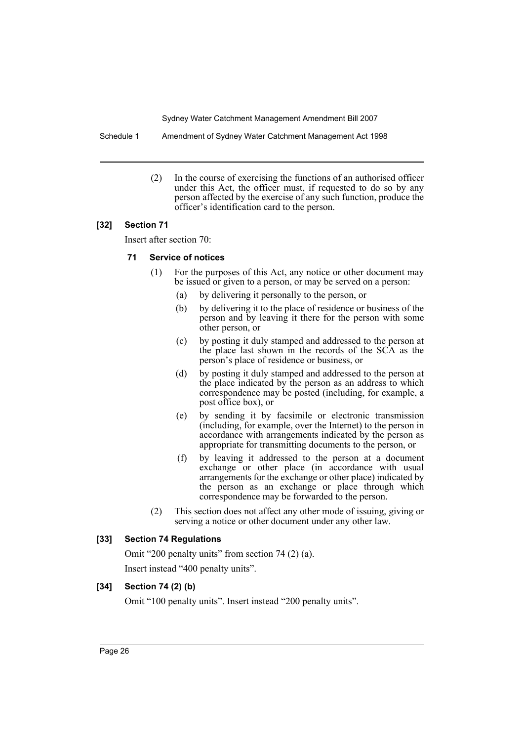Schedule 1 Amendment of Sydney Water Catchment Management Act 1998

(2) In the course of exercising the functions of an authorised officer under this Act, the officer must, if requested to do so by any person affected by the exercise of any such function, produce the officer's identification card to the person.

### **[32] Section 71**

Insert after section 70:

### **71 Service of notices**

- (1) For the purposes of this Act, any notice or other document may be issued or given to a person, or may be served on a person:
	- (a) by delivering it personally to the person, or
	- (b) by delivering it to the place of residence or business of the person and by leaving it there for the person with some other person, or
	- (c) by posting it duly stamped and addressed to the person at the place last shown in the records of the SCA as the person's place of residence or business, or
	- (d) by posting it duly stamped and addressed to the person at the place indicated by the person as an address to which correspondence may be posted (including, for example, a post office box), or
	- (e) by sending it by facsimile or electronic transmission (including, for example, over the Internet) to the person in accordance with arrangements indicated by the person as appropriate for transmitting documents to the person, or
	- (f) by leaving it addressed to the person at a document exchange or other place (in accordance with usual arrangements for the exchange or other place) indicated by the person as an exchange or place through which correspondence may be forwarded to the person.
- (2) This section does not affect any other mode of issuing, giving or serving a notice or other document under any other law.

### **[33] Section 74 Regulations**

Omit "200 penalty units" from section 74 (2) (a). Insert instead "400 penalty units".

### **[34] Section 74 (2) (b)**

Omit "100 penalty units". Insert instead "200 penalty units".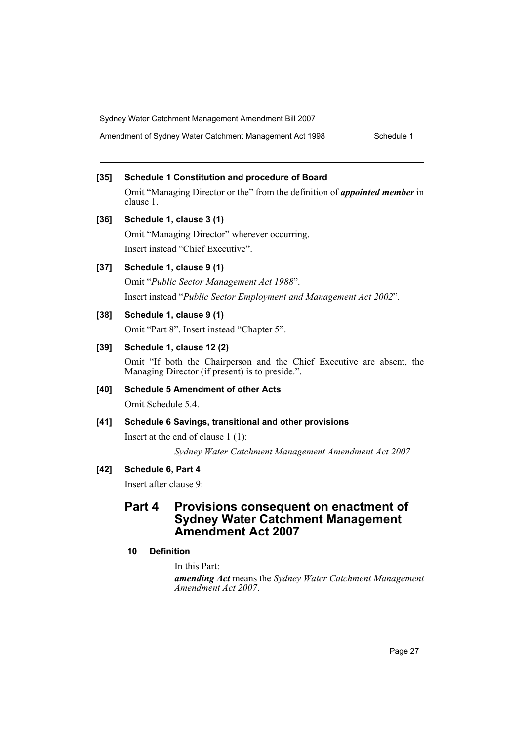Amendment of Sydney Water Catchment Management Act 1998 Schedule 1

# **[35] Schedule 1 Constitution and procedure of Board**

Omit "Managing Director or the" from the definition of *appointed member* in clause 1.

**[36] Schedule 1, clause 3 (1)** Omit "Managing Director" wherever occurring.

Insert instead "Chief Executive".

### **[37] Schedule 1, clause 9 (1)**

Omit "*Public Sector Management Act 1988*". Insert instead "*Public Sector Employment and Management Act 2002*".

### **[38] Schedule 1, clause 9 (1)**

Omit "Part 8". Insert instead "Chapter 5".

### **[39] Schedule 1, clause 12 (2)**

Omit "If both the Chairperson and the Chief Executive are absent, the Managing Director (if present) is to preside.".

**[40] Schedule 5 Amendment of other Acts** Omit Schedule 5.4.

### **[41] Schedule 6 Savings, transitional and other provisions**

Insert at the end of clause 1 (1):

*Sydney Water Catchment Management Amendment Act 2007*

### **[42] Schedule 6, Part 4**

Insert after clause 9:

# **Part 4 Provisions consequent on enactment of Sydney Water Catchment Management Amendment Act 2007**

### **10 Definition**

In this Part:

*amending Act* means the *Sydney Water Catchment Management Amendment Act 2007*.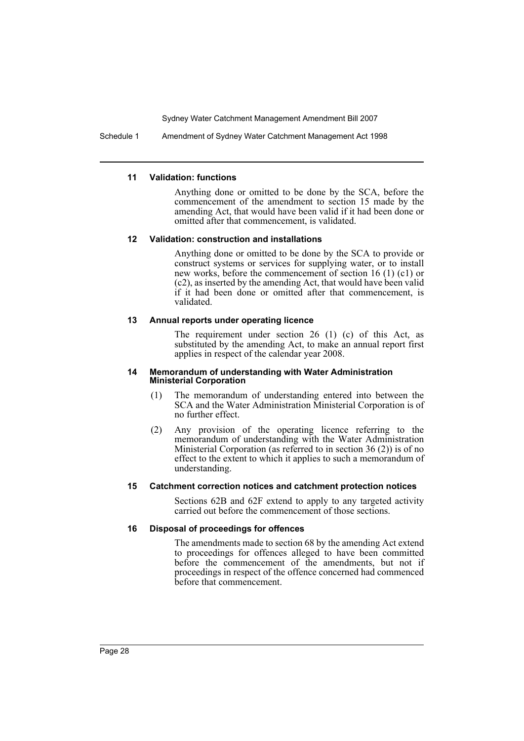Schedule 1 Amendment of Sydney Water Catchment Management Act 1998

### **11 Validation: functions**

Anything done or omitted to be done by the SCA, before the commencement of the amendment to section 15 made by the amending Act, that would have been valid if it had been done or omitted after that commencement, is validated.

### **12 Validation: construction and installations**

Anything done or omitted to be done by the SCA to provide or construct systems or services for supplying water, or to install new works, before the commencement of section 16 (1) (c1) or (c2), as inserted by the amending Act, that would have been valid if it had been done or omitted after that commencement, is validated.

### **13 Annual reports under operating licence**

The requirement under section 26 (1) (c) of this Act, as substituted by the amending Act, to make an annual report first applies in respect of the calendar year 2008.

#### **14 Memorandum of understanding with Water Administration Ministerial Corporation**

- (1) The memorandum of understanding entered into between the SCA and the Water Administration Ministerial Corporation is of no further effect.
- (2) Any provision of the operating licence referring to the memorandum of understanding with the Water Administration Ministerial Corporation (as referred to in section 36 (2)) is of no effect to the extent to which it applies to such a memorandum of understanding.

### **15 Catchment correction notices and catchment protection notices**

Sections 62B and 62F extend to apply to any targeted activity carried out before the commencement of those sections.

### **16 Disposal of proceedings for offences**

The amendments made to section 68 by the amending Act extend to proceedings for offences alleged to have been committed before the commencement of the amendments, but not if proceedings in respect of the offence concerned had commenced before that commencement.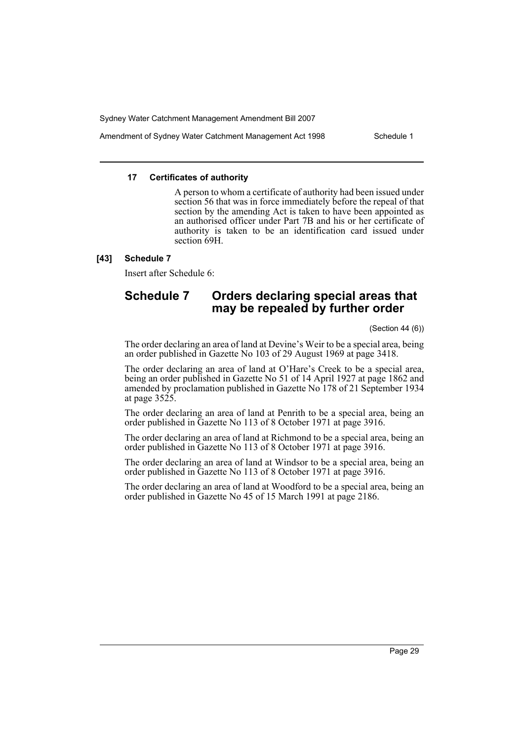Amendment of Sydney Water Catchment Management Act 1998 Schedule 1

### **17 Certificates of authority**

A person to whom a certificate of authority had been issued under section 56 that was in force immediately before the repeal of that section by the amending Act is taken to have been appointed as an authorised officer under Part 7B and his or her certificate of authority is taken to be an identification card issued under section 69H.

### **[43] Schedule 7**

Insert after Schedule 6:

# **Schedule 7 Orders declaring special areas that may be repealed by further order**

(Section 44 (6))

The order declaring an area of land at Devine's Weir to be a special area, being an order published in Gazette No 103 of 29 August 1969 at page 3418.

The order declaring an area of land at O'Hare's Creek to be a special area, being an order published in Gazette No 51 of 14 April 1927 at page 1862 and amended by proclamation published in Gazette No 178 of 21 September 1934 at page 3525.

The order declaring an area of land at Penrith to be a special area, being an order published in Gazette No 113 of 8 October 1971 at page 3916.

The order declaring an area of land at Richmond to be a special area, being an order published in Gazette No 113 of 8 October 1971 at page 3916.

The order declaring an area of land at Windsor to be a special area, being an order published in Gazette No 113 of 8 October 1971 at page 3916.

The order declaring an area of land at Woodford to be a special area, being an order published in Gazette No 45 of 15 March 1991 at page 2186.